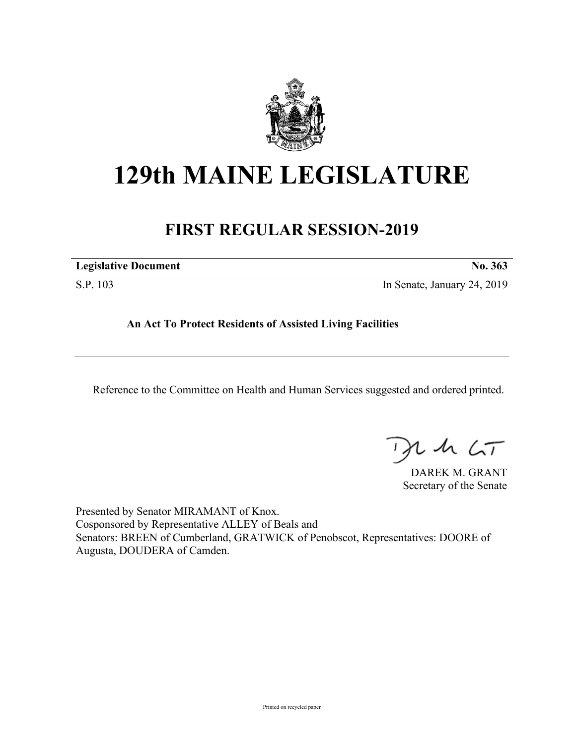

## **129th MAINE LEGISLATURE**

## **FIRST REGULAR SESSION-2019**

| <b>Legislative Document</b> | N <sub>0</sub><br>- 363 |
|-----------------------------|-------------------------|
|-----------------------------|-------------------------|

S.P. 103 In Senate, January 24, 2019

**An Act To Protect Residents of Assisted Living Facilities**

Reference to the Committee on Health and Human Services suggested and ordered printed.

, in  $\zeta$ T

DAREK M. GRANT Secretary of the Senate

Presented by Senator MIRAMANT of Knox. Cosponsored by Representative ALLEY of Beals and Senators: BREEN of Cumberland, GRATWICK of Penobscot, Representatives: DOORE of Augusta, DOUDERA of Camden.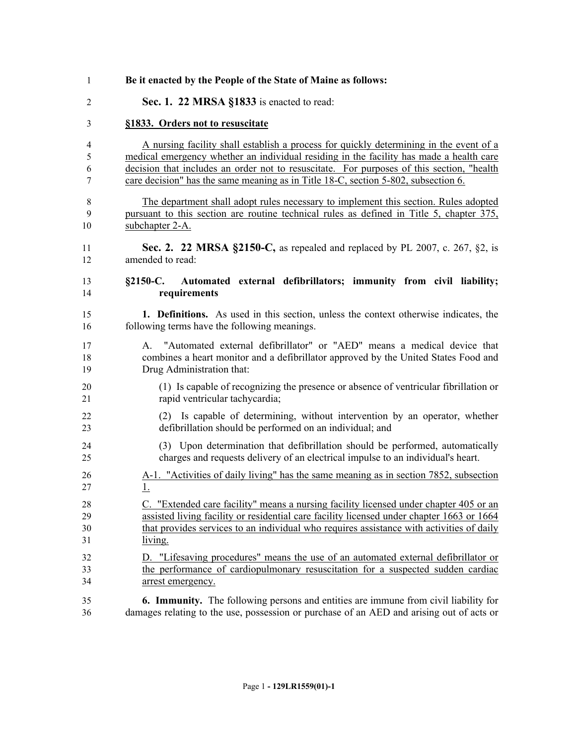| 1              | Be it enacted by the People of the State of Maine as follows:                                                                                                                                     |
|----------------|---------------------------------------------------------------------------------------------------------------------------------------------------------------------------------------------------|
| 2              | Sec. 1. 22 MRSA §1833 is enacted to read:                                                                                                                                                         |
| 3              | §1833. Orders not to resuscitate                                                                                                                                                                  |
| $\overline{4}$ | A nursing facility shall establish a process for quickly determining in the event of a                                                                                                            |
| 5              | medical emergency whether an individual residing in the facility has made a health care                                                                                                           |
| 6              | decision that includes an order not to resuscitate. For purposes of this section, "health                                                                                                         |
| 7              | care decision" has the same meaning as in Title 18-C, section 5-802, subsection 6.                                                                                                                |
| 8              | The department shall adopt rules necessary to implement this section. Rules adopted                                                                                                               |
| 9              | pursuant to this section are routine technical rules as defined in Title 5, chapter 375,                                                                                                          |
| 10             | subchapter 2-A.                                                                                                                                                                                   |
| 11             | <b>Sec. 2. 22 MRSA §2150-C,</b> as repealed and replaced by PL 2007, c. 267, §2, is                                                                                                               |
| 12             | amended to read:                                                                                                                                                                                  |
| 13<br>14       | Automated external defibrillators; immunity from civil liability;<br>$§2150-C.$<br>requirements                                                                                                   |
| 15             | <b>1. Definitions.</b> As used in this section, unless the context otherwise indicates, the                                                                                                       |
| 16             | following terms have the following meanings.                                                                                                                                                      |
| 17<br>18<br>19 | "Automated external defibrillator" or "AED" means a medical device that<br>A.<br>combines a heart monitor and a defibrillator approved by the United States Food and<br>Drug Administration that: |
| 20             | (1) Is capable of recognizing the presence or absence of ventricular fibrillation or                                                                                                              |
| 21             | rapid ventricular tachycardia;                                                                                                                                                                    |
| 22             | (2) Is capable of determining, without intervention by an operator, whether                                                                                                                       |
| 23             | defibrillation should be performed on an individual; and                                                                                                                                          |
| 24             | (3) Upon determination that defibrillation should be performed, automatically                                                                                                                     |
| 25             | charges and requests delivery of an electrical impulse to an individual's heart.                                                                                                                  |
| 26             | A-1. "Activities of daily living" has the same meaning as in section 7852, subsection                                                                                                             |
| 27             | $\perp$                                                                                                                                                                                           |
| 28             | C. "Extended care facility" means a nursing facility licensed under chapter 405 or an                                                                                                             |
| 29             | assisted living facility or residential care facility licensed under chapter 1663 or 1664                                                                                                         |
| 30             | that provides services to an individual who requires assistance with activities of daily                                                                                                          |
| 31             | living.                                                                                                                                                                                           |
| 32             | D. "Lifesaving procedures" means the use of an automated external defibrillator or                                                                                                                |
| 33             | the performance of cardiopulmonary resuscitation for a suspected sudden cardiac                                                                                                                   |
| 34             | arrest emergency.                                                                                                                                                                                 |
| 35             | <b>6. Immunity.</b> The following persons and entities are immune from civil liability for                                                                                                        |
| 36             | damages relating to the use, possession or purchase of an AED and arising out of acts or                                                                                                          |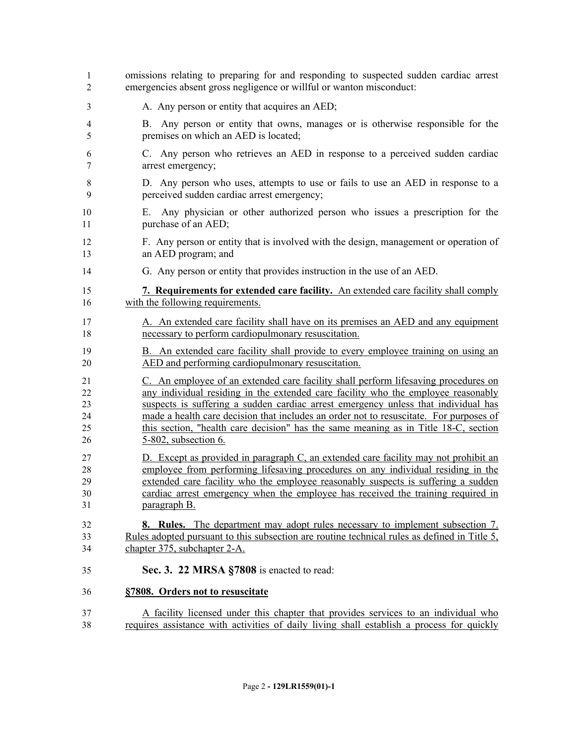| 1        | omissions relating to preparing for and responding to suspected sudden cardiac arrest                   |
|----------|---------------------------------------------------------------------------------------------------------|
| 2        | emergencies absent gross negligence or willful or wanton misconduct:                                    |
| 3        | A. Any person or entity that acquires an AED;                                                           |
| 4        | B. Any person or entity that owns, manages or is otherwise responsible for the                          |
| 5        | premises on which an AED is located;                                                                    |
| 6        | C. Any person who retrieves an AED in response to a perceived sudden cardiac                            |
| 7        | arrest emergency;                                                                                       |
| 8        | D. Any person who uses, attempts to use or fails to use an AED in response to a                         |
| 9        | perceived sudden cardiac arrest emergency;                                                              |
| 10<br>11 | Any physician or other authorized person who issues a prescription for the<br>Е.<br>purchase of an AED; |
| 12       | F. Any person or entity that is involved with the design, management or operation of                    |
| 13       | an AED program; and                                                                                     |
| 14       | G. Any person or entity that provides instruction in the use of an AED.                                 |
| 15       | 7. Requirements for extended care facility. An extended care facility shall comply                      |
| 16       | with the following requirements.                                                                        |
| 17       | A. An extended care facility shall have on its premises an AED and any equipment                        |
| 18       | necessary to perform cardiopulmonary resuscitation.                                                     |
| 19       | B. An extended care facility shall provide to every employee training on using an                       |
| 20       | AED and performing cardiopulmonary resuscitation.                                                       |
| 21       | C. An employee of an extended care facility shall perform lifesaving procedures on                      |
| 22       | any individual residing in the extended care facility who the employee reasonably                       |
| 23       | suspects is suffering a sudden cardiac arrest emergency unless that individual has                      |
| 24       | made a health care decision that includes an order not to resuscitate. For purposes of                  |
| 25       | this section, "health care decision" has the same meaning as in Title 18-C, section                     |
| 26       | 5-802, subsection 6.                                                                                    |
| 27       | D. Except as provided in paragraph C, an extended care facility may not prohibit an                     |
| 28       | employee from performing lifesaving procedures on any individual residing in the                        |
| 29       | extended care facility who the employee reasonably suspects is suffering a sudden                       |
| 30       | cardiac arrest emergency when the employee has received the training required in                        |
| 31       | <u>paragraph B.</u>                                                                                     |
| 32       | 8. Rules. The department may adopt rules necessary to implement subsection 7.                           |
| 33       | Rules adopted pursuant to this subsection are routine technical rules as defined in Title 5,            |
| 34       | chapter 375, subchapter 2-A.                                                                            |
| 35       | Sec. 3. 22 MRSA §7808 is enacted to read:                                                               |
| 36       | §7808. Orders not to resuscitate                                                                        |
| 37       | A facility licensed under this chapter that provides services to an individual who                      |
| 38       | requires assistance with activities of daily living shall establish a process for quickly               |